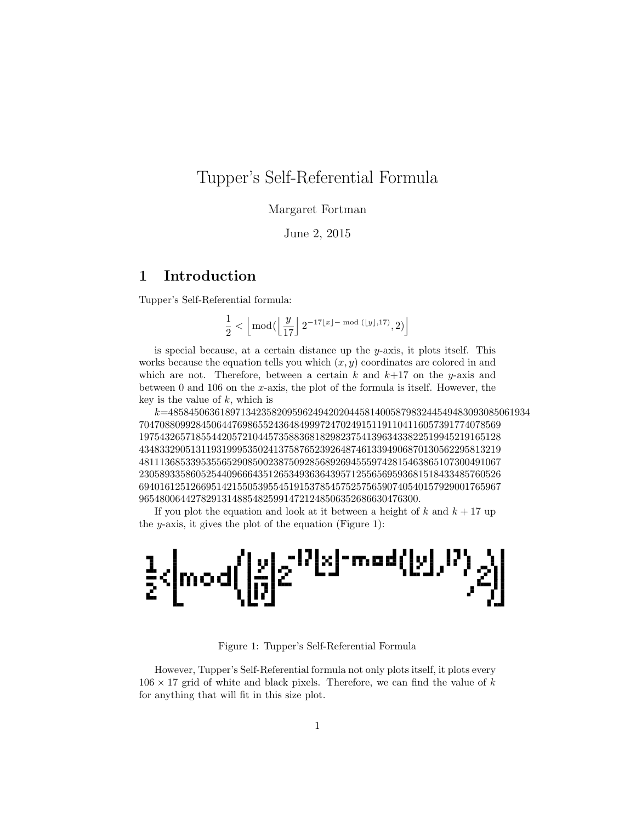## Tupper's Self-Referential Formula

Margaret Fortman

June 2, 2015

## 1 Introduction

Tupper's Self-Referential formula:

$$
\frac{1}{2}<\left\lfloor\bmod(\left\lfloor\frac{y}{17}\right\rfloor2^{-17\lfloor x\rfloor-\bmod(\lfloor y\rfloor,17)},2)\right\rfloor
$$

is special because, at a certain distance up the  $y$ -axis, it plots itself. This works because the equation tells you which  $(x, y)$  coordinates are colored in and which are not. Therefore, between a certain k and  $k+17$  on the y-axis and between 0 and 106 on the  $x$ -axis, the plot of the formula is itself. However, the key is the value of  $k$ , which is

k=4858450636189713423582095962494202044581400587983244549483093085061934 7047088099284506447698655243648499972470249151191104116057391774078569 1975432657185544205721044573588368182982375413963433822519945219165128 4348332905131193199953502413758765239264874613394906870130562295813219 4811136853395355652908500238750928568926945559742815463865107300491067 2305893358605254409666435126534936364395712556569593681518433485760526 6940161251266951421550539554519153785457525756590740540157929001765967 965480064427829131488548259914721248506352686630476300.

If you plot the equation and look at it between a height of k and  $k + 17$  up the y-axis, it gives the plot of the equation (Figure 1):



Figure 1: Tupper's Self-Referential Formula

However, Tupper's Self-Referential formula not only plots itself, it plots every  $106 \times 17$  grid of white and black pixels. Therefore, we can find the value of k for anything that will fit in this size plot.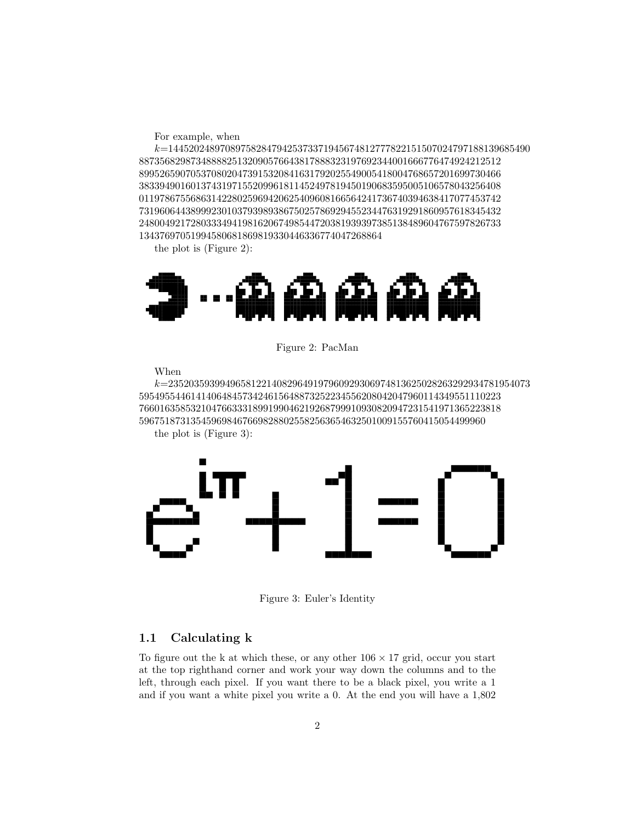For example, when

 $k \! = \! 1445202489708975828479425373371945674812777822151507024797188139685490$ 8873568298734888825132090576643817888323197692344001666776474924212512 8995265907053708020473915320841631792025549005418004768657201699730466 3833949016013743197155209961811452497819450190683595005106578043256408 0119786755686314228025969420625409608166564241736740394638417077453742 7319606443899923010379398938675025786929455234476319291860957618345432 2480049217280333494198162067498544720381939397385138489604767597826733 13437697051994580681869819330446336774047268864

the plot is (Figure 2):



Figure 2: PacMan

When

k=2352035939949658122140829649197960929306974813625028263292934781954073 5954955446141406484573424615648873252234556208042047960114349551110223 7660163585321047663331899199046219268799910930820947231541971365223818 5967518731354596984676698288025582563654632501009155760415054499960 the plot is (Figure 3):



Figure 3: Euler's Identity

#### 1.1 Calculating k

To figure out the k at which these, or any other  $106 \times 17$  grid, occur you start at the top righthand corner and work your way down the columns and to the left, through each pixel. If you want there to be a black pixel, you write a 1 and if you want a white pixel you write a 0. At the end you will have a 1,802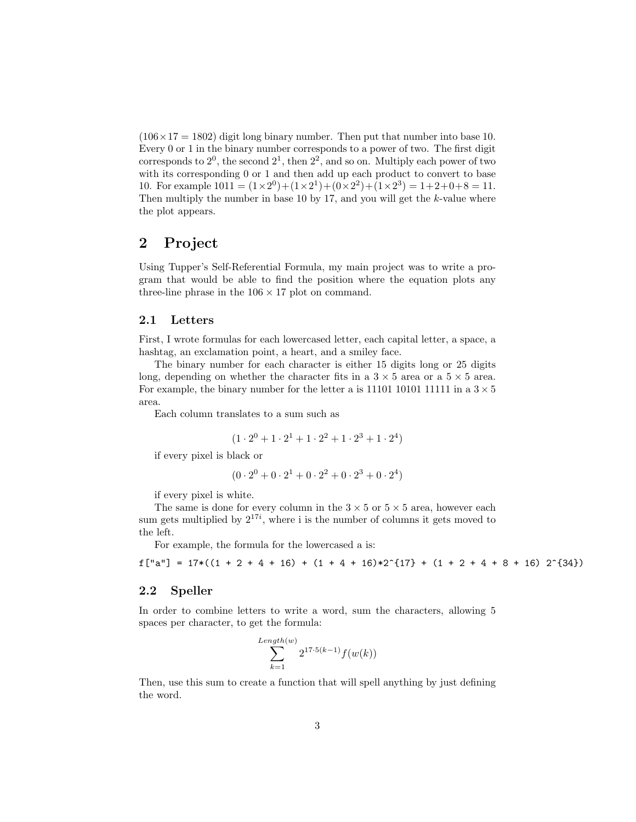$(106 \times 17 = 1802)$  digit long binary number. Then put that number into base 10. Every 0 or 1 in the binary number corresponds to a power of two. The first digit corresponds to  $2^0$ , the second  $2^1$ , then  $2^2$ , and so on. Multiply each power of two with its corresponding 0 or 1 and then add up each product to convert to base 10. For example  $1011 = (1 \times 2^0) + (1 \times 2^1) + (0 \times 2^2) + (1 \times 2^3) = 1 + 2 + 0 + 8 = 11$ . Then multiply the number in base 10 by 17, and you will get the  $k$ -value where the plot appears.

### 2 Project

Using Tupper's Self-Referential Formula, my main project was to write a program that would be able to find the position where the equation plots any three-line phrase in the  $106 \times 17$  plot on command.

#### 2.1 Letters

First, I wrote formulas for each lowercased letter, each capital letter, a space, a hashtag, an exclamation point, a heart, and a smiley face.

The binary number for each character is either 15 digits long or 25 digits long, depending on whether the character fits in a  $3 \times 5$  area or a  $5 \times 5$  area. For example, the binary number for the letter a is 11101 10101 11111 in a  $3 \times 5$ area.

Each column translates to a sum such as

$$
(1 \cdot 2^0 + 1 \cdot 2^1 + 1 \cdot 2^2 + 1 \cdot 2^3 + 1 \cdot 2^4)
$$

if every pixel is black or

$$
(0 \cdot 2^0 + 0 \cdot 2^1 + 0 \cdot 2^2 + 0 \cdot 2^3 + 0 \cdot 2^4)
$$

if every pixel is white.

The same is done for every column in the  $3 \times 5$  or  $5 \times 5$  area, however each sum gets multiplied by  $2^{17i}$ , where i is the number of columns it gets moved to the left.

For example, the formula for the lowercased a is:

 $f['a"] = 17*((1 + 2 + 4 + 16) + (1 + 4 + 16)*2^{(17)} + (1 + 2 + 4 + 8 + 16) 2^{(34)})$ 

#### 2.2 Speller

In order to combine letters to write a word, sum the characters, allowing 5 spaces per character, to get the formula:

$$
\sum_{k=1}^{Length(w)} 2^{17 \cdot 5(k-1)} f(w(k))
$$

Then, use this sum to create a function that will spell anything by just defining the word.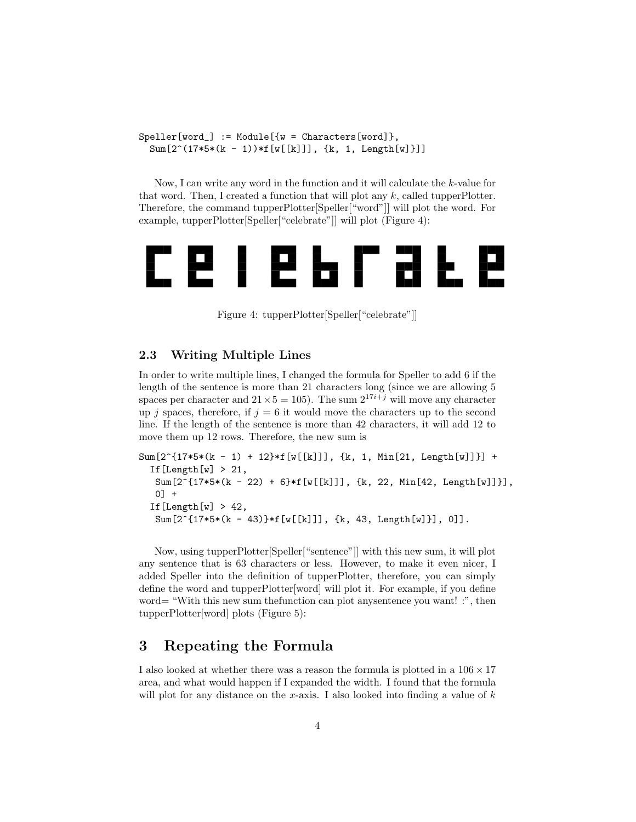$Speller[word] := Module[{w = Characteristics[word]},$  $Sum[2^(17*5*(k - 1))*f[w[[k]]], {k, 1, Length[w]]}]$ 

Now, I can write any word in the function and it will calculate the k-value for that word. Then, I created a function that will plot any  $k$ , called tupperPlotter. Therefore, the command tupperPlotter[Speller["word"]] will plot the word. For example, tupperPlotter[Speller["celebrate"]] will plot (Figure 4):



Figure 4: tupperPlotter[Speller["celebrate"]]

#### 2.3 Writing Multiple Lines

In order to write multiple lines, I changed the formula for Speller to add 6 if the length of the sentence is more than 21 characters long (since we are allowing 5 spaces per character and  $21 \times 5 = 105$ ). The sum  $2^{17i+j}$  will move any character up j spaces, therefore, if  $j = 6$  it would move the characters up to the second line. If the length of the sentence is more than 42 characters, it will add 12 to move them up 12 rows. Therefore, the new sum is

```
Sum[2^{(17*5*(k - 1) + 12)*f[w[[k]]], {k, 1, Min[21, Length[w]]}] +If [Length[w] > 21,
 Sum[2^{(17*5*(k - 22) + 6)*f[w[[k]]], {k, 22, Min[42, Length[w]]}],0] +
If [Length[w] > 42,
 Sum[2^{(17*5*(k - 43)*f[w[[k]]], {k, 43, Length[w]]}], 0]].
```
Now, using tupperPlotter[Speller["sentence"]] with this new sum, it will plot any sentence that is 63 characters or less. However, to make it even nicer, I added Speller into the definition of tupperPlotter, therefore, you can simply define the word and tupperPlotter[word] will plot it. For example, if you define word= "With this new sum the function can plot any sentence you want! :", then tupperPlotter[word] plots (Figure 5):

## 3 Repeating the Formula

I also looked at whether there was a reason the formula is plotted in a  $106 \times 17$ area, and what would happen if I expanded the width. I found that the formula will plot for any distance on the x-axis. I also looked into finding a value of  $k$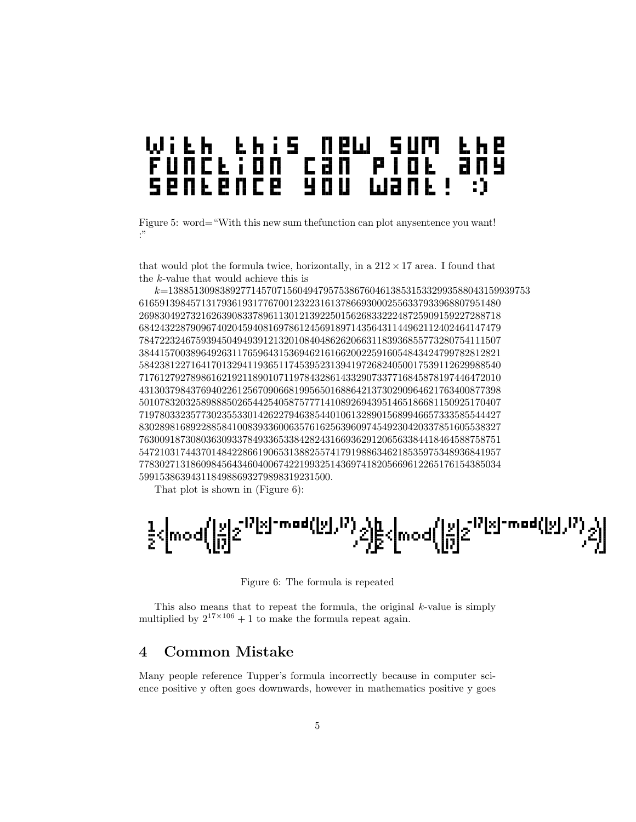# e h e<br>a n y

Figure 5: word="With this new sum the function can plot any sentence you want! :"

that would plot the formula twice, horizontally, in a  $212 \times 17$  area. I found that the k-value that would achieve this is

k=1388513098389277145707156049479575386760461385315332993588043159939753 6165913984571317936193177670012322316137866930002556337933968807951480 2698304927321626390833789611301213922501562683322248725909159227288718 6842432287909674020459408169786124569189714356431144962112402464147479 7847223246759394504949391213201084048626206631183936855773280754111507 3844157003896492631176596431536946216166200225916054843424799782812821 5842381227164170132941193651174539523139419726824050017539112629988540 7176127927898616219211890107119784328614332907337716845878197446472010 4313037984376940226125670906681995650168864213730290964621763400877398 5010783203258988850265442540587577714108926943951465186681150925170407 7197803323577302355330142622794638544010613289015689946657333585544427 8302898168922885841008393360063576162563960974549230420337851605538327 7630091873080363093378493365338428243166936291206563384418464588758751 5472103174437014842286619065313882557417919886346218535975348936841957 7783027131860984564346040067422199325143697418205669612265176154385034 5991538639431184988693279898319231500.

That plot is shown in (Figure 6):

$$
\tfrac{1}{2}\langle \bmod{\left(\left[\begin{matrix} x\\ y\\ 0\end{matrix}\right]}z^{17}l^xl^{-mod(\left[\begin{matrix} x\\ y\\ z\end{matrix}\right],P)},z\rangle\!\right)\!\!\overline{\sum}}\langle \bmod{\left(\left[\begin{matrix} x\\ y\\ 0\end{matrix}\right]}z^{17}l^xl^{-mod(\left[\begin{matrix} x\\ y\\ z\end{matrix}\right],P)},z\rangle\!\right)}
$$

Figure 6: The formula is repeated

This also means that to repeat the formula, the original  $k$ -value is simply multiplied by  $2^{17\times106} + 1$  to make the formula repeat again.

## 4 Common Mistake

Many people reference Tupper's formula incorrectly because in computer science positive y often goes downwards, however in mathematics positive y goes